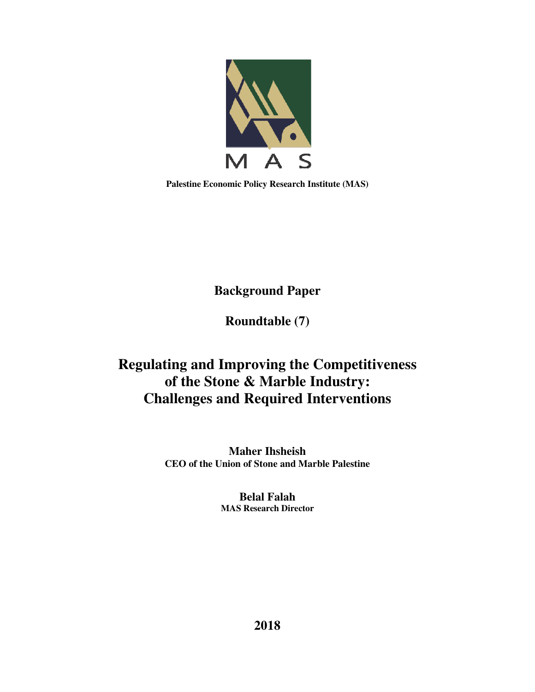

**Palestine Economic Policy Research Institute (MAS)** 

**Background Paper** 

**Roundtable (7)** 

# **Regulating and Improving the Competitiveness of the Stone & Marble Industry: Challenges and Required Interventions**

**Maher Ihsheish CEO of the Union of Stone and Marble Palestine** 

> **Belal Falah MAS Research Director**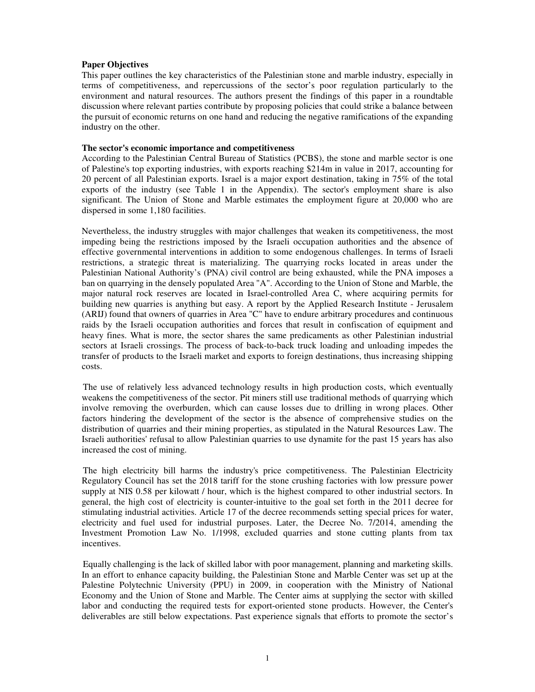# **Paper Objectives**

This paper outlines the key characteristics of the Palestinian stone and marble industry, especially in terms of competitiveness, and repercussions of the sector's poor regulation particularly to the environment and natural resources. The authors present the findings of this paper in a roundtable discussion where relevant parties contribute by proposing policies that could strike a balance between the pursuit of economic returns on one hand and reducing the negative ramifications of the expanding industry on the other.

#### **The sector's economic importance and competitiveness**

According to the Palestinian Central Bureau of Statistics (PCBS), the stone and marble sector is one of Palestine's top exporting industries, with exports reaching \$214m in value in 2017, accounting for 20 percent of all Palestinian exports. Israel is a major export destination, taking in 75% of the total exports of the industry (see Table 1 in the Appendix). The sector's employment share is also significant. The Union of Stone and Marble estimates the employment figure at 20,000 who are dispersed in some 1,180 facilities.

Nevertheless, the industry struggles with major challenges that weaken its competitiveness, the most impeding being the restrictions imposed by the Israeli occupation authorities and the absence of effective governmental interventions in addition to some endogenous challenges. In terms of Israeli restrictions, a strategic threat is materializing. The quarrying rocks located in areas under the Palestinian National Authority's (PNA) civil control are being exhausted, while the PNA imposes a ban on quarrying in the densely populated Area "A". According to the Union of Stone and Marble, the major natural rock reserves are located in Israel-controlled Area C, where acquiring permits for building new quarries is anything but easy. A report by the Applied Research Institute - Jerusalem (ARIJ) found that owners of quarries in Area "C" have to endure arbitrary procedures and continuous raids by the Israeli occupation authorities and forces that result in confiscation of equipment and heavy fines. What is more, the sector shares the same predicaments as other Palestinian industrial sectors at Israeli crossings. The process of back-to-back truck loading and unloading impedes the transfer of products to the Israeli market and exports to foreign destinations, thus increasing shipping costs.

The use of relatively less advanced technology results in high production costs, which eventually weakens the competitiveness of the sector. Pit miners still use traditional methods of quarrying which involve removing the overburden, which can cause losses due to drilling in wrong places. Other factors hindering the development of the sector is the absence of comprehensive studies on the distribution of quarries and their mining properties, as stipulated in the Natural Resources Law. The Israeli authorities' refusal to allow Palestinian quarries to use dynamite for the past 15 years has also increased the cost of mining.

The high electricity bill harms the industry's price competitiveness. The Palestinian Electricity Regulatory Council has set the 2018 tariff for the stone crushing factories with low pressure power supply at NIS 0.58 per kilowatt / hour, which is the highest compared to other industrial sectors. In general, the high cost of electricity is counter-intuitive to the goal set forth in the 2011 decree for stimulating industrial activities. Article 17 of the decree recommends setting special prices for water, electricity and fuel used for industrial purposes. Later, the Decree No. 7/2014, amending the Investment Promotion Law No. 1/1998, excluded quarries and stone cutting plants from tax incentives.

Equally challenging is the lack of skilled labor with poor management, planning and marketing skills. In an effort to enhance capacity building, the Palestinian Stone and Marble Center was set up at the Palestine Polytechnic University (PPU) in 2009, in cooperation with the Ministry of National Economy and the Union of Stone and Marble. The Center aims at supplying the sector with skilled labor and conducting the required tests for export-oriented stone products. However, the Center's deliverables are still below expectations. Past experience signals that efforts to promote the sector's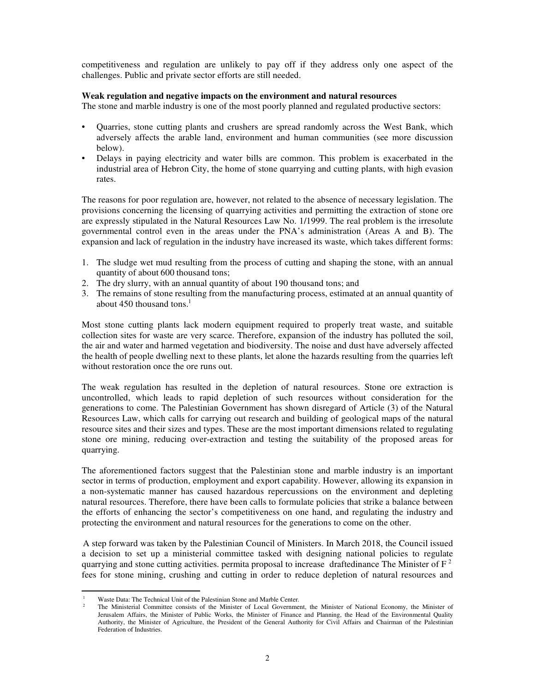competitiveness and regulation are unlikely to pay off if they address only one aspect of the challenges. Public and private sector efforts are still needed.

# **Weak regulation and negative impacts on the environment and natural resources**

The stone and marble industry is one of the most poorly planned and regulated productive sectors:

- Quarries, stone cutting plants and crushers are spread randomly across the West Bank, which adversely affects the arable land, environment and human communities (see more discussion below).
- Delays in paying electricity and water bills are common. This problem is exacerbated in the industrial area of Hebron City, the home of stone quarrying and cutting plants, with high evasion rates.

The reasons for poor regulation are, however, not related to the absence of necessary legislation. The provisions concerning the licensing of quarrying activities and permitting the extraction of stone ore are expressly stipulated in the Natural Resources Law No. 1/1999. The real problem is the irresolute governmental control even in the areas under the PNA's administration (Areas A and B). The expansion and lack of regulation in the industry have increased its waste, which takes different forms:

- 1. The sludge wet mud resulting from the process of cutting and shaping the stone, with an annual quantity of about 600 thousand tons;
- 2. The dry slurry, with an annual quantity of about 190 thousand tons; and
- 3. The remains of stone resulting from the manufacturing process, estimated at an annual quantity of about 450 thousand tons. $<sup>1</sup>$ </sup>

Most stone cutting plants lack modern equipment required to properly treat waste, and suitable collection sites for waste are very scarce. Therefore, expansion of the industry has polluted the soil, the air and water and harmed vegetation and biodiversity. The noise and dust have adversely affected the health of people dwelling next to these plants, let alone the hazards resulting from the quarries left without restoration once the ore runs out.

The weak regulation has resulted in the depletion of natural resources. Stone ore extraction is uncontrolled, which leads to rapid depletion of such resources without consideration for the generations to come. The Palestinian Government has shown disregard of Article (3) of the Natural Resources Law, which calls for carrying out research and building of geological maps of the natural resource sites and their sizes and types. These are the most important dimensions related to regulating stone ore mining, reducing over-extraction and testing the suitability of the proposed areas for quarrying.

The aforementioned factors suggest that the Palestinian stone and marble industry is an important sector in terms of production, employment and export capability. However, allowing its expansion in a non-systematic manner has caused hazardous repercussions on the environment and depleting natural resources. Therefore, there have been calls to formulate policies that strike a balance between the efforts of enhancing the sector's competitiveness on one hand, and regulating the industry and protecting the environment and natural resources for the generations to come on the other.

A step forward was taken by the Palestinian Council of Ministers. In March 2018, the Council issued a decision to set up a ministerial committee tasked with designing national policies to regulate quarrying and stone cutting activities. permita proposal to increase draftedinance The Minister of  $F<sup>2</sup>$ fees for stone mining, crushing and cutting in order to reduce depletion of natural resources and

 $\overline{a}$ 

<sup>1</sup> Waste Data: The Technical Unit of the Palestinian Stone and Marble Center.

<sup>2</sup> The Ministerial Committee consists of the Minister of Local Government, the Minister of National Economy, the Minister of Jerusalem Affairs, the Minister of Public Works, the Minister of Finance and Planning, the Head of the Environmental Quality Authority, the Minister of Agriculture, the President of the General Authority for Civil Affairs and Chairman of the Palestinian Federation of Industries.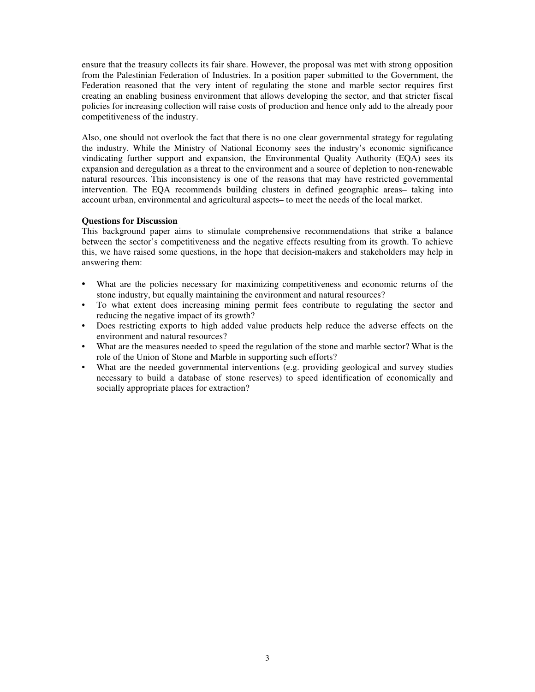ensure that the treasury collects its fair share. However, the proposal was met with strong opposition from the Palestinian Federation of Industries. In a position paper submitted to the Government, the Federation reasoned that the very intent of regulating the stone and marble sector requires first creating an enabling business environment that allows developing the sector, and that stricter fiscal policies for increasing collection will raise costs of production and hence only add to the already poor competitiveness of the industry.

Also, one should not overlook the fact that there is no one clear governmental strategy for regulating the industry. While the Ministry of National Economy sees the industry's economic significance vindicating further support and expansion, the Environmental Quality Authority (EQA) sees its expansion and deregulation as a threat to the environment and a source of depletion to non-renewable natural resources. This inconsistency is one of the reasons that may have restricted governmental intervention. The EQA recommends building clusters in defined geographic areas– taking into account urban, environmental and agricultural aspects– to meet the needs of the local market.

### **Questions for Discussion**

This background paper aims to stimulate comprehensive recommendations that strike a balance between the sector's competitiveness and the negative effects resulting from its growth. To achieve this, we have raised some questions, in the hope that decision-makers and stakeholders may help in answering them:

- What are the policies necessary for maximizing competitiveness and economic returns of the stone industry, but equally maintaining the environment and natural resources?
- To what extent does increasing mining permit fees contribute to regulating the sector and reducing the negative impact of its growth?
- Does restricting exports to high added value products help reduce the adverse effects on the environment and natural resources?
- What are the measures needed to speed the regulation of the stone and marble sector? What is the role of the Union of Stone and Marble in supporting such efforts?
- What are the needed governmental interventions (e.g. providing geological and survey studies necessary to build a database of stone reserves) to speed identification of economically and socially appropriate places for extraction?